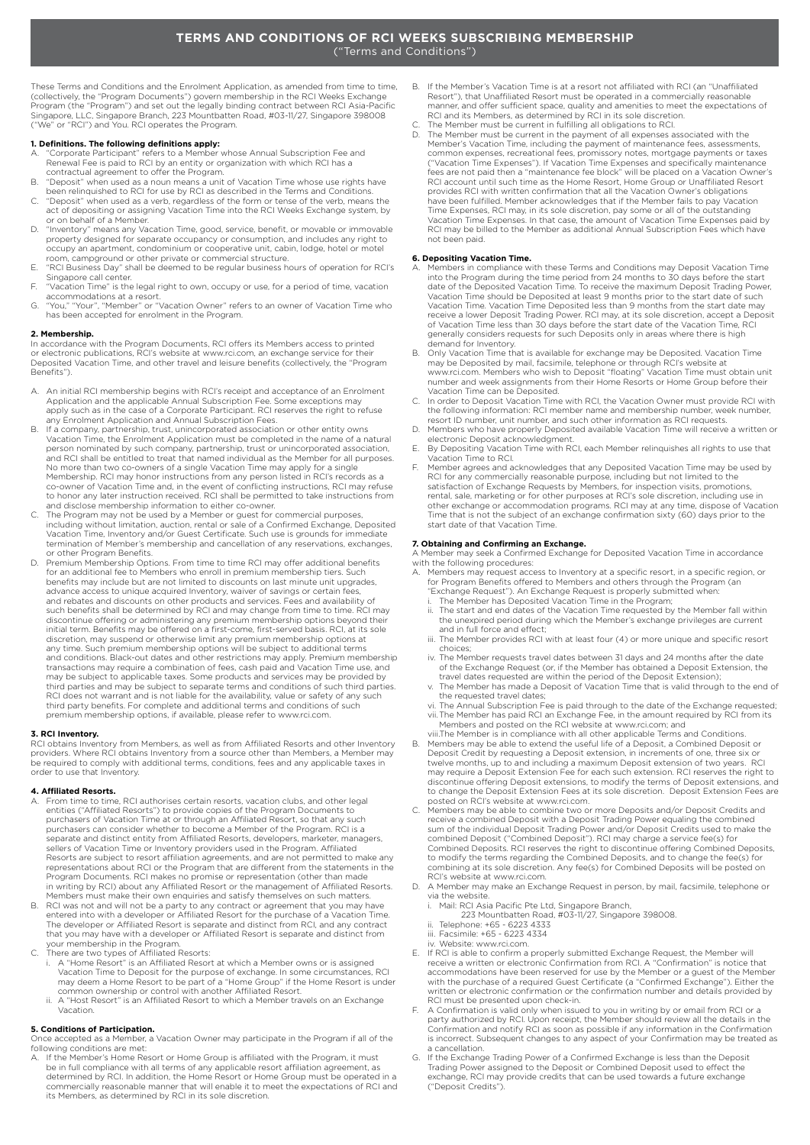These Terms and Conditions and the Enrolment Application, as amended from time to time, (collectively, the "Program Documents") govern membership in the RCI Weeks Exchange Program (the "Program") and set out the legally binding contract between RCI Asia-Pacific Singapore, LLC, Singapore Branch, 223 Mountbatten Road, #03-11/27, Singapore 398008 ("We" or "RCI") and You. RCI operates the Program.

**1. Definitions. The following definitions apply:**<br>A. "Corporate Participant" refers to a Member whose Annual Subscription Fee and Renewal Fee is paid to RCI by an entity or organization with which RCI has a contractual agreement to offer the Program.

- B. "Deposit" when used as a noun means a unit of Vacation Time whose use rights have been relinquished to RCI for use by RCI as described in the Terms and Conditions.
- C. "Deposit" when used as a verb, regardless of the form or tense of the verb, means the act of depositing or assigning Vacation Time into the RCI Weeks Exchange system, by or on behalf of a Member.
- D. "Inventory" means any Vacation Time, good, service, benefit, or movable or immovable<br>property designed for separate occupancy or consumption, and includes any right to<br>occupy an apartment, condominium or cooperative uni
- room, campground or other private or commercial structure. E. "RCI Business Day" shall be deemed to be regular business hours of operation for RCI's
- Singapore call center. F. "Vacation Time" is the legal right to own, occupy or use, for a period of time, vacation accommodations at a resort.
- G. "You," "Your", "Member" or "Vacation Owner" refers to an owner of Vacation Time who has been accepted for enrolment in the Program.

**2. Membership.** In accordance with the Program Documents, RCI offers its Members access to printed or electronic publications, RCI's website at www.rci.com, an exchange service for their<br>Deposited Vacation Time, and other travel and leisure benefits (collectively, the "Program Benefits").

- A. An initial RCI membership begins with RCI's receipt and acceptance of an Enrolment Application and the applicable Annual Subscription Fee. Some exceptions may apply such as in the case of a Corporate Participant. RCI reserves the right to refuse any Enrolment Application and Annual Subscription Fees.
- B. If a company, partnership, trust, unincorporated association or other entity owns Vacation Time, the Enrolment Application must be completed in the name of a natural person nominated by such company, partnership, trust or unincorporated association, and RCI shall be entitled to treat that named individual as the Member for all purposes. No more than two co-owners of a single Vacation Time may apply for a single<br>Membership. RCI may honor instructions from any person listed in RCI's records as a<br>co-owner of Vacation Time and, in the event of conflicting ins to honor any later instruction received. RCI shall be permitted to take instructions from
- and disclose membership information to either co-owner. C. The Program may not be used by a Member or guest for commercial purposes, including without limitation, auction, rental or sale of a Confirmed Exchange, Deposited Vacation Time, Inventory and/or Guest Certificate. Such use is grounds for immediate termination of Member's membership and cancellation of any reservations, exchanges, or other Program Benefits.
- D. Premium Membership Options. From time to time RCI may offer additional benefits for an additional fee to Members who enroll in premium membership tiers. Such benefits may include but are not limited to discounts on last minute unit upgrades,<br>advance access to unique acquired Inventory, waiver of savings or certain fees,<br>and rebates and discounts on other products and services. such benefits shall be determined by RCI and may change from time to time. RCI may discontinue offering or administering any premium membership options beyond their initial term. Benefits may be offered on a first-come, first-served basis. RCI, at its sole discretion, may suspend or otherwise limit any premium membership options at any time. Such premium membership options will be subject to additional terms and conditions. Black-out dates and other restrictions may apply. Premium membership transactions may require a combination of fees, cash paid and Vacation Time use, and may be subject to applicable taxes. Some products and services may be provided by third parties and may be subject to separate terms and conditions of such third parties. RCI does not warrant and is not liable for the availability, value or safety of any such third party benefits. For complete and additional terms and conditions of such premium membership options, if available, please refer to www.rci.com.

**3. RCI Inventory.**<br>RCI obtains Inventory from Members, as well as from Affiliated Resorts and other Inventory<br>providers. Where RCI obtains Inventory from a source other than Members, a Member may be required to comply with additional terms, conditions, fees and any applicable taxes in order to use that Inventory.

### **4. Affiliated Resorts.**

- A. From time to time, RCI authorises certain resorts, vacation clubs, and other legal<br>entities ("Affiliated Resorts") to provide copies of the Program Documents to<br>purchasers of Vacation Time at or through an Affiliated Re separate and distinct entity from Affiliated Resorts, developers, marketer, managers,<br>sellers of Vacation Time or Inventory providers used in the Program. Affiliated<br>Resorts are subject to resort affiliation agreements, an Program Documents. RCI makes no promise or representation (other than made in writing by RCI) about any Affiliated Resort or the management of Affiliated Resorts.
- Members must make their own enquiries and satisfy themselves on such matters. B. RCI was not and will not be a party to any contract or agreement that you may have entered into with a developer or Affiliated Resort for the purchase of a Vacation Time. The developer or Affiliated Resort is separate and distinct from RCI, and any contract that you may have with a developer or Affiliated Resort is separate and distinct from your membership in the Program.
- 
- C. There are two types of Affiliated Resorts: i. A "Home Resort" is an Affiliated Resort at which a Member owns or is assigned Vacation Time to Deposit for the purpose of exchange. In some circumstances, RCI may deem a Home Resort to be part of a "Home Group" if the Home Resort is under common ownership or control with another Affiliated Resort. ii. A "Host Resort" is an Affiliated Resort to which a Member travels on an Exchange
- Vacation.

### **5. Conditions of Participation.**

Once accepted as a Member, a Vacation Owner may participate in the Program if all of the following conditions are met:<br>A. If the Member's Home Resort or Home Group is affiliated with the Program, it must

be in full compliance with all terms of any applicable resort affiliation agreement, as determined by RCI. In addition, the Home Resort or Home Group must be operated in a commercially reasonable manner that will enable it to meet the expectations of RCI and its Members, as determined by RCI in its sole discretion.

- B. If the Member's Vacation Time is at a resort not affiliated with RCI (an "Unaffiliated Resort"), that Unaffiliated Resort must be operated in a commercially reasonable manner, and offer sufficient space, quality and amenities to meet the expectations of RCI and its Members, as determined by RCI in its sole discretion.
- C. The Member must be current in fulfilling all obligations to RCI. D. The Member must be current in the payment of all expenses associated with the
	- Member's Vacation Time, including the payment of maintenance fees, assessments, common expenses, recreational fees, promissory notes, mortgage payments or taxes ("Vacation Time Expenses"). If Vacation Time Expenses and specifically maintenance<br>fees are not paid then a "maintenance fee block" will be placed on a Vacation Owner's<br>RCI account until such time as the Home Resort, Home have been fulfilled. Member acknowledges that if the Member fails to pay Vacation<br>Time Expenses, RCI may, in its sole discretion, pay some or all of the outstanding<br>Vacation Time Expenses. In that case, the amount of Vacat not been paid.

- **6. Depositing Vacation Time.** A. Members in compliance with these Terms and Conditions may Deposit Vacation Time into the Program during the time period from 24 months to 30 days before the start date of the Deposited Vacation Time. To receive the maximum Deposit Trading Power, Vacation Time should be Deposited at least 9 months prior to the start date of such<br>Vacation Time. Vacation Time Deposited less than 9 months from the start date may<br>receive a lower Deposit Trading Power. RCI may, at its s generally considers requests for such Deposits only in areas where there is high demand for Inventory.
- B. Only Vacation Time that is available for exchange may be Deposited. Vacation Time<br>may be Deposited by mail, facsimile, telephone or through RCI's website at<br>www.rci.com. Members who wish to Deposit "floating" Vacation T Vacation Time can be Deposited. C. In order to Deposit Vacation Time with RCI, the Vacation Owner must provide RCI with
- the following information: RCI member name and membership number, week number, resort ID number, unit number, and such other information as RCI requests.
- D. Members who have properly Deposited available Vacation Time will receive a written or electronic Deposit acknowledgment.
- E. By Depositing Vacation Time with RCI, each Member relinquishes all rights to use that Vacation Time to RCI.
- F. Member agrees and acknowledges that any Deposited Vacation Time may be used by<br>RCI for any commercially reasonable purpose, including but not limited to the<br>satisfaction of Exchange Requests by Members, for inspection v other exchange or accommodation programs. RCI may at any time, dispose of Vacation Time that is not the subject of an exchange confirmation sixty (60) days prior to the start date of that Vacation Time.

## **7. Obtaining and Confirming an Exchange.**

A Member may seek a Confirmed Exchange for Deposited Vacation Time in accordance with the following procedures:

- A. Members may request access to Inventory at a specific resort, in a specific region, or for Program Benefits offered to Members and others through the Program (an<br>"Exchange Request"). An Exchange Request is properly submitted when:<br>i. The Member has Deposited Vacation Time in the Program;
- 
- ii. The start and end dates of the Vacation Time requested by the Member fall within the unexpired period during which the Member's exchange privileges are current and in full force and effect;
- iii. The Member provides RCI with at least four (4) or more unique and specific resort choices;
- iv. The Member requests travel dates between 31 days and 24 months after the date of the Exchange Request (or, if the Member has obtained a Deposit Extension, the travel dates requested are within the period of the Deposit Extension);
	- v. The Member has made a Deposit of Vacation Time that is valid through to the end of the requested travel dates;
	- vi. The Annual Subscription Fee is paid through to the date of the Exchange requested; vii.The Member has paid RCI an Exchange Fee, in the amount required by RCI from its Members and posted on the RCI website at www.rci.com; and
- viii.The Member is in compliance with all other applicable Terms and Conditions. B. Members may be able to extend the useful life of a Deposit, a Combined Deposit or Deposit Credit by requesting a Deposit extension, in increments of one, three six or<br>twelve months, up to and including a maximum Deposit extension of two years. RCI<br>may require a Deposit Extension Fee for each such extens discontinue offering Deposit extensions, to modify the terms of Deposit extensions, and to change the Deposit Extension Fees at its sole discretion. Deposit Extension Fees are posted on RCI's website at www.rci.com.
- C. Members may be able to combine two or more Deposits and/or Deposit Credits and receive a combined Deposit with a Deposit Trading Power equaling the combined sum of the individual Deposit Trading Power and/or Deposit Credits used to make the combined Deposit ("Combined Deposit"). RCI may charge a service fee(s) for Combined Deposits. RCI reserves the right to discontinue offering Combined Deposits, to modify the terms regarding the Combined Deposits, and to change the fee(s) for combining at its sole discretion. Any fee(s) for Combined Deposits will be posted on
- RCI's website at www.rci.com. D. A Member may make an Exchange Request in person, by mail, facsimile, telephone or via the website. i. Mail: RCI Asia Pacific Pte Ltd, Singapore Branch,
	-
- 223 Mountbatten Road, #03-11/27, Singapore 398008. ii. Telephone: +65 6223 4333 iii. Facsimile: +65 6223 4334 iv. Website: www.rci.com.
	-
	-
- E. If RCI is able to confirm a properly submitted Exchange Request, the Member will receive a written or electronic Confirmation from RCI. A "Confirmation" is notice that accommodations have been reserved for use by the Member or a guest of the Member with the purchase of a required Guest Certificate (a "Confirmed Exchange"). Either the written or electronic confirmation or the confirmation number and details provided by RCI must be presented upon check-in.
- F. A Confirmation is valid only when issued to you in writing by or email from RCI or a party authorized by RCI. Upon receipt, the Member should review all the details in the Confirmation and notify RCI as soon as possible if any information in the Confirmation is incorrect. Subsequent changes to any aspect of your Confirmation may be treated as a cancellation.
- G. If the Exchange Trading Power of a Confirmed Exchange is less than the Deposit Trading Power assigned to the Deposit or Combined Deposit used to effect the exchange, RCI may provide credits that can be used towards a future exchange ("Deposit Credits").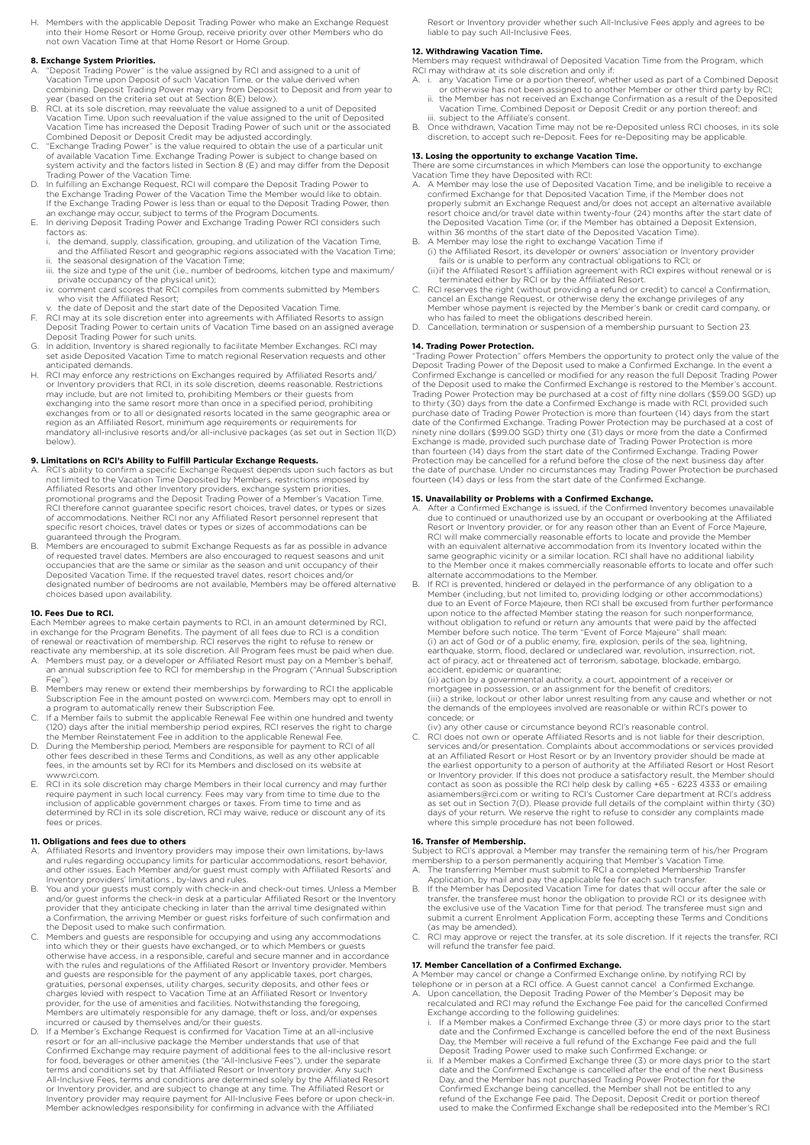Members with the applicable Deposit Trading Power who make an Exchange Request into their Home Resort or Home Group, receive priority over other Members who do not own Vacation Time at that Home Resort or Home Group.

### **8. Exchange System Priorities.**

- A. "Deposit Trading Power" is the value assigned by RCI and assigned to a unit of Vacation Time upon Deposit of such Vacation Time, or the value derived when combining. Deposit Trading Power may vary from Deposit to Deposit and from year to year (based on the criteria set out at Section 8(E) below).
- B. RCI, at its sole discretion, may reevaluate the value assigned to a unit of Deposited Vacation Time. Upon such reevaluation if the value assigned to the unit of Deposited Vacation Time has increased the Deposit Trading Power of such unit or the associated Combined Deposit or Deposit Credit may be adjusted accordingly.
- C. "Exchange Trading Power" is the value required to obtain the use of a particular unit<br>of available Vacation Time. Exchange Trading Power is subject to change based on<br>system activity and the factors listed in Section 8
- Trading Power of the Vacation Time. D. In fulfilling an Exchange Request, RCI will compare the Deposit Trading Power to the Exchange Trading Power of the Vacation Time the Member would like to obtain. If the Exchange Trading Power is less than or equal to the Deposit Trading Power, then<br>an exchange may occur, subject to terms of the Program Documents.<br>E. In deriving Deposit Trading Power and Exchange Trading Power RCI
- factors as:
	- i. the demand, supply, classification, grouping, and utilization of the Vacation Time and the Affiliated Resort and geographic regions associated with the Vacation Time;
- ii. the seasonal designation of the Vacation Time;<br>iii. the size and type of the unit (i.e., number of bedrooms, kitchen type and maximum/<br>private occupancy of the physical unit);
- iv. comment card scores that RCI compiles from comments submitted by Members who visit the Affiliated Resort;
- and visit the Almiated Resort,<br>the date of Deposit and the start date of the Deposited Vacation Time.
- F. RCI may at its sole discretion enter into agreements with Affiliated Resorts to assign Deposit Trading Power to certain units of Vacation Time based on an assigned average Deposit Trading Power for such units.
- G. In addition, Inventory is shared regionally to facilitate Member Exchanges. RCI may set aside Deposited Vacation Time to match regional Reservation requests and other anticipated demands.
- H. RCI may enforce any restrictions on Exchanges required by Affiliated Resorts and/ or Inventory providers that RCI, in its sole discretion, deems reasonable. Restrictions may include, but are not limited to, prohibiting Members or their guests from exchanging into the same resort more than once in a specified period, prohibiting exchanges from or to all or designated resorts located in the same geographic area or region as an Affiliated Resort, minimum age requirements or requirements for mandatory all-inclusive resorts and/or all-inclusive packages (as set out in Section 11(D) below).

- **9. Limitations on RCI's Ability to Fulfill Particular Exchange Requests.**<br>A. RCI's ability to confirm a specific Exchange Request depends upon such factors as but not limited to the Vacation Time Deposited by Members, restrictions imposed by Affiliated Resorts and other Inventory providers, exchange system priorities, promotional programs and the Deposit Trading Power of a Member's Vacation Time. RCI therefore cannot guarantee specific resort choices, travel dates, or types or sizes of accommodations. Neither RCI nor any Affiliated Resort personnel represent that specific resort choices, travel dates or types or sizes of accommodations can be
- guaranteed through the Program. B. Members are encouraged to submit Exchange Requests as far as possible in advance of requested travel dates. Members are also encouraged to request seasons and unit occupancies that are the same or similar as the season and unit occupancy of their Deposited Vacation Time. If the requested travel dates, resort choices and/or designated number of bedrooms are not available, Members may be offered alternative choices based upon availability.

### **10. Fees Due to RCI.**

Each Member agrees to make certain payments to RCI, in an amount determined by RCI,<br>in exchange for the Program Benefits. The payment of all fees due to RCI is a condition<br>of renewal or reactivation of membership. RCI rese

- reactivate any membership, at its sole discretion. All Program fees must be paid when due. A. Members must pay, or a developer or Affiliated Resort must pay on a Member's behalf, an annual subscription fee to RCI for membership in the Program ("Annual Subscription Fee").
- B. Members may renew or extend their memberships by forwarding to RCI the applicable Subscription Fee in the amount posted on www.rci.com. Members may opt to enroll in
- a program to automatically renew their Subscription Fee. C. If a Member fails to submit the applicable Renewal Fee within one hundred and twenty (120) days after the initial membership period expires, RCI reserves the right to charge the Member Reinstatement Fee in addition to the applicable Renewal Fee.
- D. During the Membership period, Members are responsible for payment to RCI of all other fees described in these Terms and Conditions, as well as any other applicable fees, in the amounts set by RCI for its Members and disclosed on its website at www.rci.com.
- E. RCI in its sole discretion may charge Members in their local currency and may further<br>require payment in such local currency. Fees may vary from time to time due to the<br>inclusion of applicable government charges or taxe fees or prices

# **11. Obligations and fees due to others**

- A. Affiliated Resorts and Inventory providers may impose their own limitations, by-laws<br>and rules regarding occupancy limits for particular accommodations, resort behavior,<br>and other issues. Each Member and/or guest must c
- Inventory providers' limitations , by-laws and rules.<br>B. You and your guests must comply with check-in and check-out times. Unless a Member<br>• and/or guest informs the check-in desk at a particular Affiliated Resort or th provider that they anticipate checking in later than the arrival time designated within a Confirmation, the arriving Member or guest risks forfeiture of such confirmation and the Deposit used to make such confirmation.
- C. Members and guests are responsible for occupying and using any accommodations<br>into which they or their guests have exchanged, or to which Members or guests<br>otherwise have access, in a responsible, careful and secure man with the rules and regulations of the Affiliated Resort or Inventory provider. Members and guests are responsible for the payment of any applicable taxes, port charges,<br>gratuities, personal expenses, utility charges, security deposits, and other fees or<br>charges levied with respect to Vacation Time at an Affi Members are ultimately responsible for any damage, theft or loss, and/or expenses
- incurred or caused by themselves and/or their guests. D. If a Member's Exchange Request is confirmed for Vacation Time at an all-inclusive resort or for an all-inclusive package the Member understands that use of that Confirmed Exchange may require payment of additional fees to the all-inclusive resort<br>for food, beverages or other amenities (the "All-Inclusive Fees"), under the separate<br>terms and conditions set by that Affiliated Resort All-Inclusive Fees, terms and conditions are determined solely by the Affiliated Resort or Inventory provider, and are subject to change at any time. The Affiliated Resort or Inventory provider may require payment for All-Inclusive Fees before or upon check-in. Member acknowledges responsibility for confirming in advance with the Affiliated

Resort or Inventory provider whether such All-Inclusive Fees apply and agrees to be liable to pay such All-Inclusive Fees.

# **12. Withdrawing Vacation Time.**

Members may request withdrawal of Deposited Vacation Time from the Program, which

- RCI may withdraw at its sole discretion and only if: A. i. any Vacation Time or a portion thereof, whether used as part of a Combined Deposit
- or otherwise has not been assigned to another Member or other third party by RCI; ii. the Member has not received an Exchange Confirmation as a result of the Deposited Vacation Time, Combined Deposit or Deposit Credit or any portion thereof; and iii. subject to the Affiliate's consent.
- B. Once withdrawn, Vacation Time may not be re-Deposited unless RCI chooses, in its sole discretion, to accept such re-Deposit. Fees for re-Depositing may be applicable.

**13. Losing the opportunity to exchange Vacation Time.** There are some circumstances in which Members can lose the opportunity to exchange Vacation Time they have Deposited with RCI:

- A. A Member may lose the use of Deposited Vacation Time, and be ineligible to receive a confirmed Exchange for that Deposited Vacation Time, if the Member does not properly submit an Exchange Request and/or does not accept an alternative available resort choice and/or travel date within twenty-four (24) months after the start date of the Deposited Vacation Time (or, if the Member has obtained a Deposit Extension, within 36 months of the start date of the Deposited Vacation Time).
- 
- B. A Member may lose the right to exchange Vacation Time if<br>
(i) the Affiliated Resort, its developer or owners' association or Inventory provider<br>
fails or is unable to perform any contractual obligations to RCI; or<br>
(ii)
- C. RCI reserves the right (without providing a refund or credit) to cancel a Confirmation,<br>cancel an Exchange Request, or otherwise deny the exchange privileges of any<br>Member whose payment is rejected by the Member's bank who has failed to meet the obligations described herein.
- Cancellation, termination or suspension of a membership pursuant to Section 23

**14. Trading Power Protection.** "Trading Power Protection" offers Members the opportunity to protect only the value of the Deposit Trading Power of the Deposit used to make a Confirmed Exchange. In the event a Confirmed Exchange is cancelled or modified for any reason the full Deposit Trading Power of the Deposit used to make the Confirmed Exchange is restored to the Member's account. Trading Power Protection may be purchased at a cost of fifty nine dollars (\$59.00 SGD) up to thirty (30) days from the date a Confirmed Exchange is made with RCI, provided such<br>purchase date of Trading Power Protection is more than fourteen (14) days from the start<br>date of the Confirmed Exchange. Trading Power Protection may be cancelled for a refund before the close of the next business day after the date of purchase. Under no circumstances may Trading Power Protection be purchased fourteen (14) days or less from the start date of the Confirmed Exchange.

# **15. Unavailability or Problems with a Confirmed Exchange.**

- A. After a Confirmed Exchange is issued, if the Confirmed Inventory becomes unavailable<br>due to continued or unauthorized use by an occupant or overbooking at the Affiliated<br>Resort or Inventory provider, or for any reason o same geographic vicinity or a similar location. RCI shall have no additional liability to the Member once it makes commercially reasonable efforts to locate and offer such
- alternate accommodations to the Member. B. If RCI is prevented, hindered or delayed in the performance of any obligation to a Member (including, but not limited to, providing lodging or other accommodations) due to an Event of Force Majeure, then RCI shall be excused from further performance upon notice to the affected Member stating the reason for such nonperformance,<br>without obligation to refund or return any amounts that were paid by the affected<br>Member before such notice. The term "Event of Force Majeure" earthquake, storm, flood, declared or undeclared war, revolution, insurrection, riot, act of piracy, act or threatened act of terrorism, sabotage, blockade, embargo, accident, epidemic or quarantine;

(ii) action by a governmental authority, a court, appointment of a receiver or mortgagee in possession, or an assignment for the benefit of creditors; (iii) a strike, lockout or other labor unrest resulting from any cause and whether or not the demands of the employees involved are reasonable or within RCI's power to concede; or

(iv) any other cause or circumstance beyond RCI's reasonable control.

C. RCI does not own or operate Affiliated Resorts and is not liable for their description, services and/or presentation. Complaints about accommodations or services provided at an Affiliated Resort or Host Resort or by an Inventory provider should be made at the earliest opportunity to a person of authority at the Affiliated Resort or Host Resort<br>or Inventory provider. If this does not produce a satisfactory result, the Member should<br>contact as soon as possible the RCI help de where this simple procedure has not been followed.

# **16. Transfer of Membership.**

Subject to RCI's approval, a Member may transfer the remaining term of his/her Program membership to a person permanently acquiring that Member's Vacation Time. A. The transferring Member must submit to RCI a completed Membership Transfer

- Application, by mail and pay the applicable fee for each such transfer. B. If the Member has Deposited Vacation Time for dates that will occur after the sale or
- transfer, the transferee must honor the obligation to provide RCI or its designee with the exclusive use of the Vacation Time for that period. The transferee must sign and submit a current Enrolment Application Form, accepting these Terms and Conditions (as may be amended).
- C. RCI may approve or reject the transfer, at its sole discretion. If it rejects the transfer, RCI will refund the transfer fee paid.

# **17. Member Cancellation of a Confirmed Exchange.**

- A Member may cancel or change a Confirmed Exchange online, by notifying RCI by<br>telephone or in person at a RCI office. A Guest cannot cancel a Confirmed Exchange.<br>A. Upon cancellation, the Deposit Trading Power of the Memb
	- i. If a Member makes a Confirmed Exchange three (3) or more days prior to the start date and the Confirmed Exchange is cancelled before the end of the next Business Day, the Member will receive a full refund of the Exchange Fee paid and the full
	- Deposit Trading Power used to make such Confirmed Exchange; or<br>ii. If a Member makes a Confirmed Exchange three (3) or more days prior to the start<br>date and the Confirmed Exchange is cancelled after the end of the next Bus Day, and the Member has not purchased Trading Power Protection for the<br>Confirmed Exchange being cancelled, the Member shall not be entitled to any<br>refund of the Exchange Fee paid. The Deposit, Deposit Credit or portion the used to make the Confirmed Exchange shall be redeposited into the Member's RCI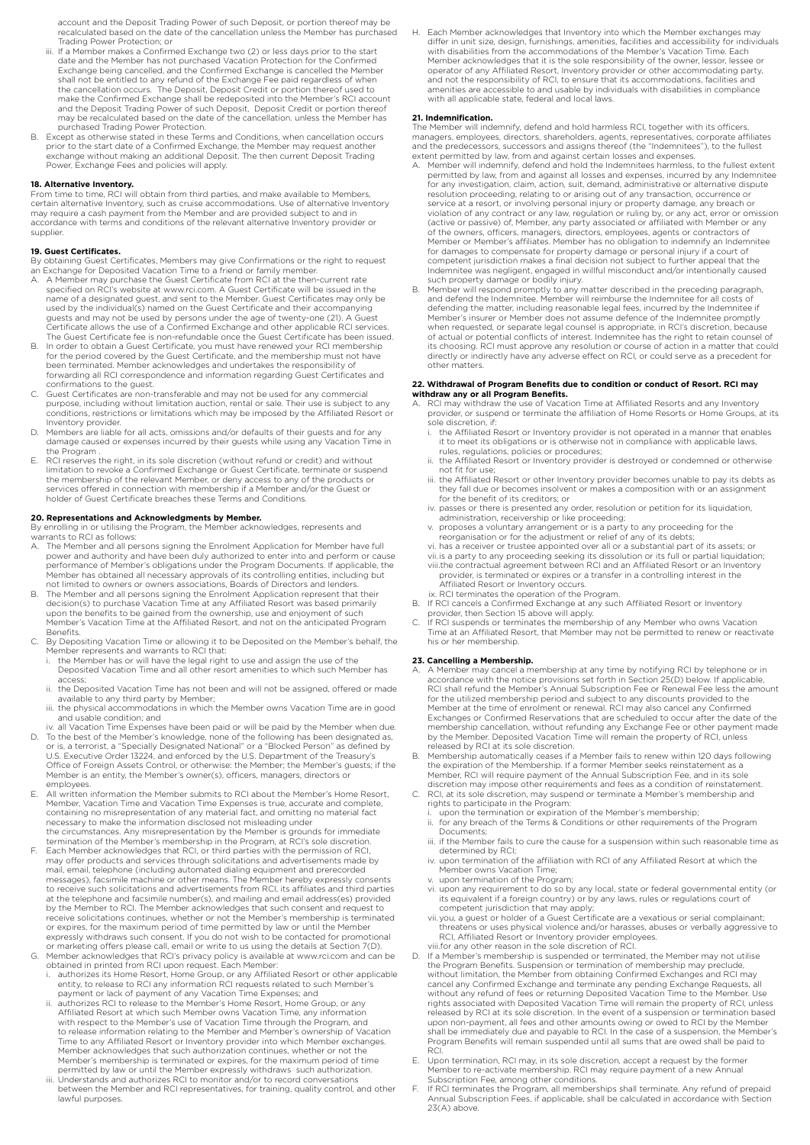account and the Deposit Trading Power of such Deposit, or portion thereof may be recalculated based on the date of the cancellation unless the Member has purchased Trading Power Protection; or

- iii. If a Member makes a Confirmed Exchange two (2) or less days prior to the start date and the Member has not purchased Vacation Protection for the Confirmed Exchange being cancelled, and the Confirmed Exchange is cancelled the Member shall not be entitled to any refund of the Exchange Fee paid regardless of when the cancellation occurs. The Deposit, Deposit Credit or portion thereof used to<br>make the Confirmed Exchange shall be redeposited into the Member's RCI account<br>and the Deposit Trading Power of such Deposit, Deposit Credit may be recalculated based on the date of the cancellation. unless the Member has may be recalculated based on the date of the cancellation.
- purchased Trading Power Protection. B. Except as otherwise stated in these Terms and Conditions, when cancellation occurs prior to the start date of a Confirmed Exchange, the Member may request another<br>exchange without making an additional Deposit. The then current Deposit Trading<br>Power, Exchange Fees and policies will apply.

**18. Alternative Inventory.**<br>From time to time, RCI will obtain from third parties, and make available to Members, certain alternative Inventory, such as cruise accommodations. Use of alternative Inventory may require a cash payment from the Member and are provided subject to and in accordance with terms and conditions of the relevant alternative Inventory provider or supplier.

### **19. Guest Certificates.**

By obtaining Guest Certificates, Members may give Confirmations or the right to request<br>an Exchange for Deposited Vacation Time to a friend or family member.<br>A. A Member may purchase the Guest Certificate from RCI at the

- specified on RCI's website at www.rci.com. A Guest Certificate will be issued in the name of a designated guest, and sent to the Member. Guest Certificates may only be used by the individual(s) named on the Guest Certificate and their accompanying guests and may not be used by persons under the age of twenty-one (21). A Guest<br>Certificate allows the use of a Confirmed Exchange and other applicable RCI services.<br>The Guest Certificate fee is non-refundable once the Gue
- B. In order to obtain a Guest Certificate, you must have renewed your RCI membership for the period covered by the Guest Certificate, and the membership must not have been terminated. Member acknowledges and undertakes the responsibility of forwarding all RCI correspondence and information regarding Guest Certificates and
- confirmations to the guest. C. Guest Certificates are non-transferable and may not be used for any commercial purpose, including without limitation auction, rental or sale. Their use is subject to any conditions, restrictions or limitations which may be imposed by the Affiliated Resort or Inventory provider.
- D. Members are liable for all acts, omissions and/or defaults of their guests and for any damage caused or expenses incurred by their guests while using any Vacation Time in the Program .
- E. RCI reserves the right, in its sole discretion (without refund or credit) and without limitation to revoke a Confirmed Exchange or Guest Certificate, terminate or suspend the membership of the relevant Member, or deny access to any of the products or services offered in connection with membership if a Member and/or the Guest or holder of Guest Certificate breaches these Terms and Conditions.

### **20. Representations and Acknowledgments by Member.**

By enrolling in or utilising the Program, the Member acknowledges, represents and warrants to RCI as follows:

- A. The Member and all persons signing the Enrolment Application for Member have full power and authority and have been duly authorized to enter into and perform or cause performance of Member's obligations under the Program Documents. If applicable, the Member has obtained all necessary approvals of its controlling entities, including but not limited to owners or owners associations, Boards of Directors and lenders.
- B. The Member and all persons signing the Enrolment Application represent that their decision(s) to purchase Vacation Time at any Affiliated Resort was based primarily upon the benefits to be gained from the ownership, use and enjoyment of such Member's Vacation Time at the Affiliated Resort, and not on the anticipated Program Benefits.
- C. By Depositing Vacation Time or allowing it to be Deposited on the Member's behalf, the
	- Member represents and warrants to RCI that: i. the Member has or will have the legal right to use and assign the use of the Deposited Vacation Time and all other resort amenities to which such Member has
- access;<br>ii. the De ii. the Deposited Vacation Time has not been and will not be assigned, offered or made available to any third party by Member;
	- iii. the physical accommodations in which the Member owns Vacation Time are in good and usable condition; and
- iv. all Vacation Time Expenses have been paid or will be paid by the Member when due.<br>D. To the best of the Member's knowledge, none of the following has been designated as,<br>or is, a terrorist, a "Specially Designated Nati
- Office of Foreign Assets Control, or otherwise: the Member; the Member's guests; if the Member is an entity, the Member's owner(s), officers, managers, directors or employees.
- E. All written information the Member submits to RCI about the Member's Home Resort, Member, Vacation Time and Vacation Time Expenses is true, accurate and complete, containing no misrepresentation of any material fact, and omitting no material fact necessary to make the information disclosed not misleading under<br>the circumstances. Any misrepresentation by the Member is grounds for immediate<br>termination of the Member's membership in the Program, at RCl's sole discreti
- may offer products and services through solicitations and advertisements made by mail, email, telephone (including automated dialing equipment and prerecorded messages), facsimile machine or other means. The Member hereby expressly consents to receive such solicitations and advertisements from RCI, its affiliates and third parties at the telephone and facsimile number(s), and mailing and email address(es) provided by the Member to RCI. The Member acknowledges that such consent and request to receive solicitations continues, whether or not the Member's membership is terminated or expires, for the maximum period of time permitted by law or until the Member
- expressly withdraws such consent. If you do not wish to be contacted for promotional<br>or marketing offers please call, email or write to us using the details at Section 7(D).<br>G. Member acknowledges that RCI's privacy policy
- 
- i. authorizes its Home Resort, Home Group, or any Affiliated Resort or other applicable<br>entity, to release to RCI any information RCI requests related to such Member's<br>payment or lack of payment of any Vacation Time Expens Member's membership is terminated or expires, for the maximum period of time permitted by law or until the Member expressly withdraws such authorization.
- iii. Understands and authorizes RCI to monitor and/or to record conversations between the Member and RCI representatives, for training, quality control, and other lawful purposes.

H. Each Member acknowledges that Inventory into which the Member exchanges may differ in unit size, design, furnishings, amenities, facilities and accessibility for individuals with disabilities from the accommodations of the Member's Vacation Time. Each Member acknowledges that it is the sole responsibility of the owner, lessor, lessee or operator of any Affiliated Resort, Inventory provider or other accommodating party, and not the responsibility of RCI, to ensure that its accommodations, facilities and amenities are accessible to and usable by individuals with disabilities in compliance with all applicable state, federal and local laws.

### **21. Indemnification.**

The Member will indemnify, defend and hold harmless RCI, together with its officers, managers, employees, directors, shareholders, agents, representatives, corporate affiliates and the predecessors, successors and assigns thereof (the "Indemnitees"), to the fullest<br>extent permitted by law, from and against certain losses and expenses.<br>A. Member will indemnify, defend and hold the Indemnitees ha

- permitted by law, from and against all losses and expenses, incurred by any Indemnitee for any investigation, claim, action, suit, demand, administrative or alternative dispute resolution proceeding, relating to or arising out of any transaction, occurrence or service at a resort, or involving personal injur for damages to compensate for property damage or personal injury if a court of competent jurisdiction makes a final decision not subject to further appeal that the Indemnitee was negligent, engaged in willful misconduct and/or intentionally caused such property damage or bodily injury.
- B. Member will respond promptly to any matter described in the preceding paragraph, and defend the Indemnitee. Member will reimburse the Indemnitee for all costs of defending the matter, including reasonable legal fees, incurred by the Indemnitee if Member's insurer or Member does not assume defence of the Indemnitee promptly when requested, or separate legal counsel is appropriate, in RCI's discretion, because of actual or potential conflicts of interest. Indemnitee has the right to retain counsel of its choosing. RCI must approve any resolution or course of action in a matter that could directly or indirectly have any adverse effect on RCI, or could serve as a precedent for other matters.

# **22. Withdrawal of Program Benefits due to condition or conduct of Resort. RCI may withdraw any or all Program Benefits.**

- A. RCI may withdraw the use of Vacation Time at Affiliated Resorts and any Inventory provider, or suspend or terminate the affiliation of Home Resorts or Home Groups, at its sole discretion, if:
- i. the Affiliated Resort or Inventory provider is not operated in a manner that enables it to meet its obligations or is otherwise not in compliance with applicable laws, rules, regulations, policies or procedures;
- ii. the Affiliated Resort or Inventory provider is destroyed or condemned or otherwise not fit for use;
	- the Affiliated Resort or other Inventory provider becomes unable to pay its debts as they fall due or becomes insolvent or makes a composition with or an assignment for the benefit of its creditors; or
- iv. passes or there is presented any order, resolution or petition for its liquidation, administration, receivership or like proceeding; v. proposes a voluntary arrangement or is a party to any proceeding for the
- reorganisation or for the adjustment or relief of any of its debts; vi. has a receiver or trustee appointed over all or a substantial part of its assets; or

vii.is a party to any proceeding seeking its dissolution or its full or partial liquidation; viii.the contractual agreement between RCI and an Affiliated Resort or an Inventory provider, is terminated or expires or a transfer in a controlling interest in the Affiliated Resort or Inventory occurs.

- ix. RCI terminates the operation of the Program. B. If RCI cancels a Confirmed Exchange at any such Affiliated Resort or Inventory
- provider, then Section 15 above will apply. C. If RCI suspends or terminates the membership of any Member who owns Vacation Time at an Affiliated Resort, that Member may not be permitted to renew or reactivate his or her membership.

# **23. Cancelling a Membership.**

- A. A Member may cancel a membership at any time by notifying RCI by telephone or in accordance with the notice provisions set forth in Section 25(D) below. If applicable, RCI shall refund the Member's Annual Subscription Fee or Renewal Fee less the amount for the utilized membership period and subject to any discounts provided to the Member at the time of enrolment or renewal. RCI may also cancel any Confirmed<br>Exchanges or Confirmed Reservations that are scheduled to occur after the date of the<br>membership cancellation, without refunding any Exchange Fe
- released by RCI at its sole discretion. B. Membership automatically ceases if a Member fails to renew within 120 days following the expiration of the Membership. If a former Member seeks reinstatement as a Member, RCI will require payment of the Annual Subscription Fee, and in its sole
- discretion may impose other requirements and fees as a condition of reinstatement. C. RCI, at its sole discretion, may suspend or terminate a Member's membership and rights to participate in the Program: i. upon the termination or expiration of the Member's membership;
	-
	- ii. for any breach of the Terms & Conditions or other requirements of the Program Documents;<br>iii if the Member
	- if the Member fails to cure the cause for a suspension within such reasonable time as
- determined by RCI; iv. upon termination of the affiliation with RCI of any Affiliated Resort at which the Member owns Vacation Time;
	-
- v. upon termination of the Program;<br>vi. upon any requirement to do so by any local, state or federal governmental entity (or<br>its equivalent if a foreign country) or by any laws, rules or regulations court of<br>competent juri RCI, Affiliated Resort or Inventory provider employees. viii.for any other reason in the sole discretion of RCI. D. If a Member's membership is suspended or terminated, the Member may not utilise
- the Program Benefits. Suspension or termination of membership may preclude,<br>without limitation, the Member from obtaining Confirmed Exchanges and RCI may<br>cancel any Confirmed Exchange and terminate any pending Exchange Req without any refund of fees or returning Deposited Vacation Time to the Member. Use<br>rights associated with Deposited Vacation Time will remain the property of RCI, unless<br>released by RCI at its sole discretion. In the event upon non-payment, all fees and other amounts owing or owed to RCI by the Member<br>shall be immediately due and payable to RCI. In the case of a suspension, the Member's<br>Program Benefits will remain suspended until all sums t RCI.
- E. Upon termination, RCI may, in its sole discretion, accept a request by the former Member to re-activate membership. RCI may require payment of a new Annual
- Subscription Fee, among other conditions. F. If RCI terminates the Program, all memberships shall terminate. Any refund of prepaid Annual Subscription Fees, if applicable, shall be calculated in accordance with Section 23(A) above.